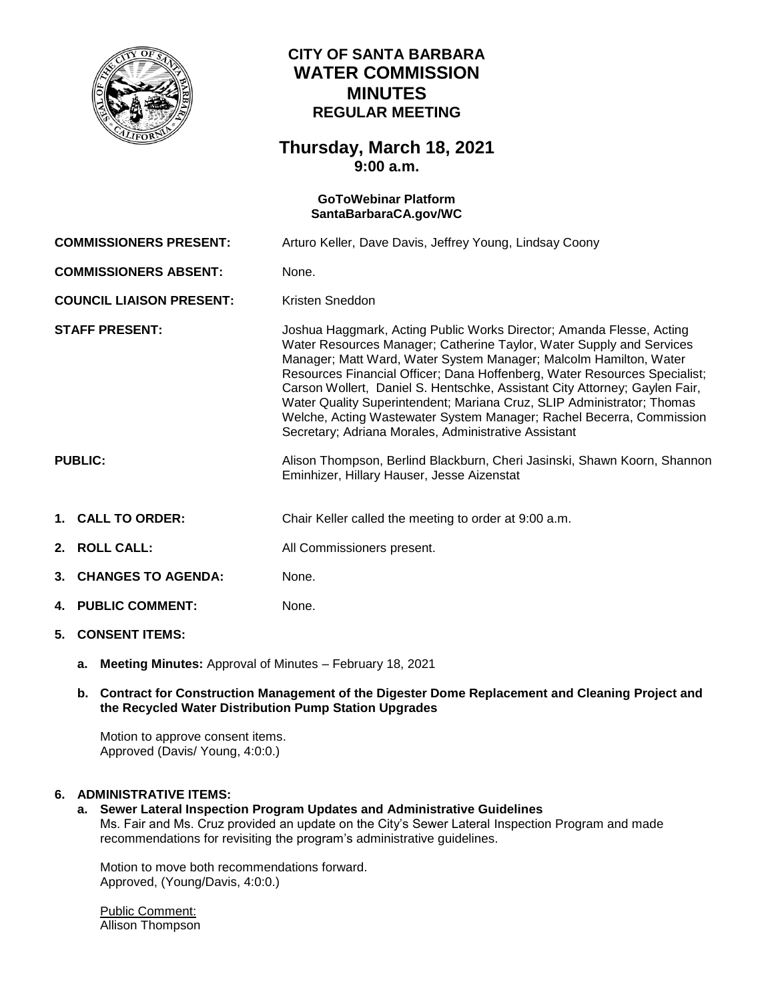

# **CITY OF SANTA BARBARA WATER COMMISSION MINUTES REGULAR MEETING**

## **Thursday, March 18, 2021 9:00 a.m.**

# **GoToWebinar Platform [SantaBarbaraCA.gov/WC](https://www.santabarbaraca.gov/gov/brdcomm/nz/water/agendas.asp) COMMISSIONERS PRESENT:** Arturo Keller, Dave Davis, Jeffrey Young, Lindsay Coony **COMMISSIONERS ABSENT:** None. **COUNCIL LIAISON PRESENT:** Kristen Sneddon **STAFF PRESENT:** Joshua Haggmark, Acting Public Works Director; Amanda Flesse, Acting Water Resources Manager; Catherine Taylor, Water Supply and Services Manager; Matt Ward, Water System Manager; Malcolm Hamilton, Water Resources Financial Officer; Dana Hoffenberg, Water Resources Specialist; Carson Wollert, Daniel S. Hentschke, Assistant City Attorney; Gaylen Fair, Water Quality Superintendent; Mariana Cruz, SLIP Administrator; Thomas Welche, Acting Wastewater System Manager; Rachel Becerra, Commission Secretary; Adriana Morales, Administrative Assistant **PUBLIC:** Alison Thompson, Berlind Blackburn, Cheri Jasinski, Shawn Koorn, Shannon Eminhizer, Hillary Hauser, Jesse Aizenstat **1. CALL TO ORDER:** Chair Keller called the meeting to order at 9:00 a.m. **2. ROLL CALL:** All Commissioners present. **3. CHANGES TO AGENDA:** None. **4. PUBLIC COMMENT:** None. **5. CONSENT ITEMS:**

**a. Meeting Minutes:** Approval of Minutes – February 18, 2021

## **b. Contract for Construction Management of the Digester Dome Replacement and Cleaning Project and the Recycled Water Distribution Pump Station Upgrades**

Motion to approve consent items. Approved (Davis/ Young, 4:0:0.)

## **6. ADMINISTRATIVE ITEMS:**

**a. Sewer Lateral Inspection Program Updates and Administrative Guidelines** Ms. Fair and Ms. Cruz provided an update on the City's Sewer Lateral Inspection Program and made recommendations for revisiting the program's administrative guidelines.

Motion to move both recommendations forward. Approved, (Young/Davis, 4:0:0.)

Public Comment: Allison Thompson